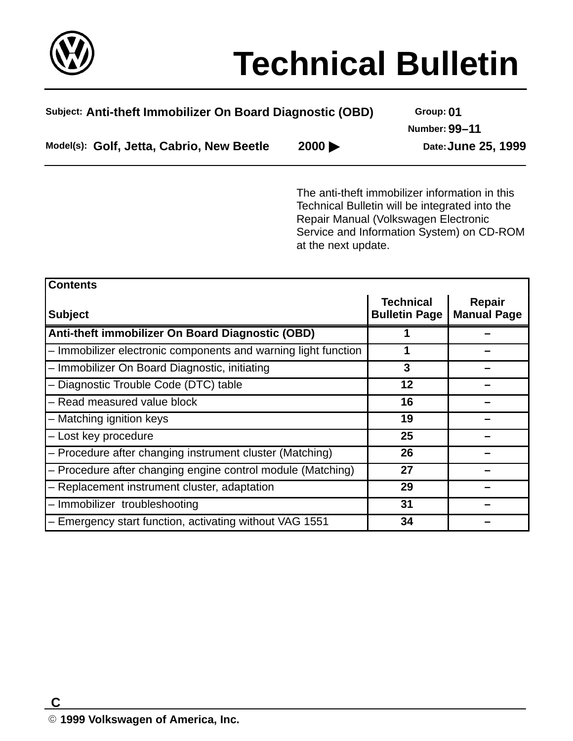

# **Technical Bulletin**

| Subject: Anti-theft Immobilizer On Board Diagnostic (OBD) | Group: 01                  |                      |
|-----------------------------------------------------------|----------------------------|----------------------|
|                                                           |                            | <b>Number: 99-11</b> |
| Model(s): Golf, Jetta, Cabrio, New Beetle                 | $2000 \blacktriangleright$ | Date: June 25, 1999  |

The anti-theft immobilizer information in this Technical Bulletin will be integrated into the Repair Manual (Volkswagen Electronic Service and Information System) on CD-ROM at the next update.

| <b>Contents</b>                                                |                                          |                              |
|----------------------------------------------------------------|------------------------------------------|------------------------------|
| <b>Subject</b>                                                 | <b>Technical</b><br><b>Bulletin Page</b> | Repair<br><b>Manual Page</b> |
| Anti-theft immobilizer On Board Diagnostic (OBD)               |                                          |                              |
| - Immobilizer electronic components and warning light function | 1                                        |                              |
| - Immobilizer On Board Diagnostic, initiating                  | 3                                        |                              |
| - Diagnostic Trouble Code (DTC) table                          | 12                                       |                              |
| - Read measured value block                                    | 16                                       |                              |
| - Matching ignition keys                                       | 19                                       |                              |
| - Lost key procedure                                           | 25                                       |                              |
| - Procedure after changing instrument cluster (Matching)       | 26                                       |                              |
| - Procedure after changing engine control module (Matching)    | 27                                       |                              |
| - Replacement instrument cluster, adaptation                   | 29                                       |                              |
| - Immobilizer troubleshooting                                  | 31                                       |                              |
| - Emergency start function, activating without VAG 1551        | 34                                       |                              |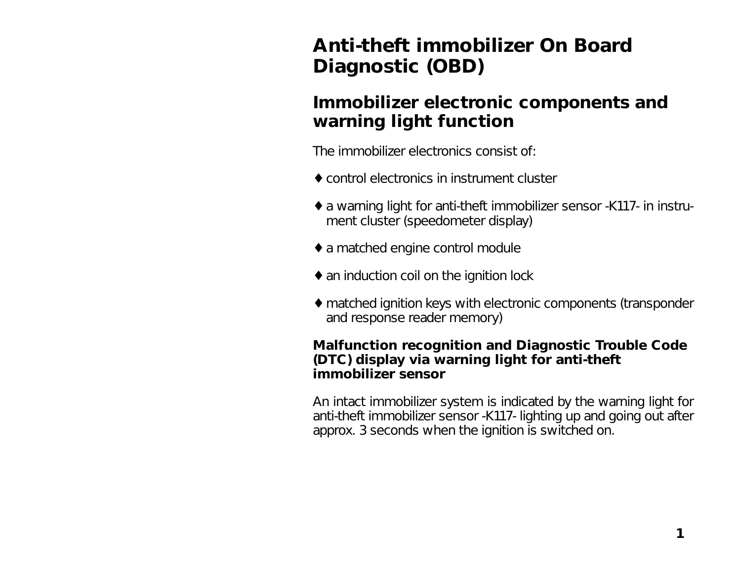# **Anti-theft immobilizer On Board Diagnostic (OBD)**

## **Immobilizer electronic components and warning light function**

The immobilizer electronics consist of:

- ♦ control electronics in instrument cluster
- ♦ a warning light for anti-theft immobilizer sensor -K117- in instrument cluster (speedometer display)
- ♦ a matched engine control module
- ♦ an induction coil on the ignition lock
- ♦ matched ignition keys with electronic components (transponder and response reader memory)

#### **Malfunction recognition and Diagnostic Trouble Code (DTC) display via warning light for anti-theft immobilizer sensor**

An intact immobilizer system is indicated by the warning light for anti-theft immobilizer sensor -K117- lighting up and going out after approx. 3 seconds when the ignition is switched on.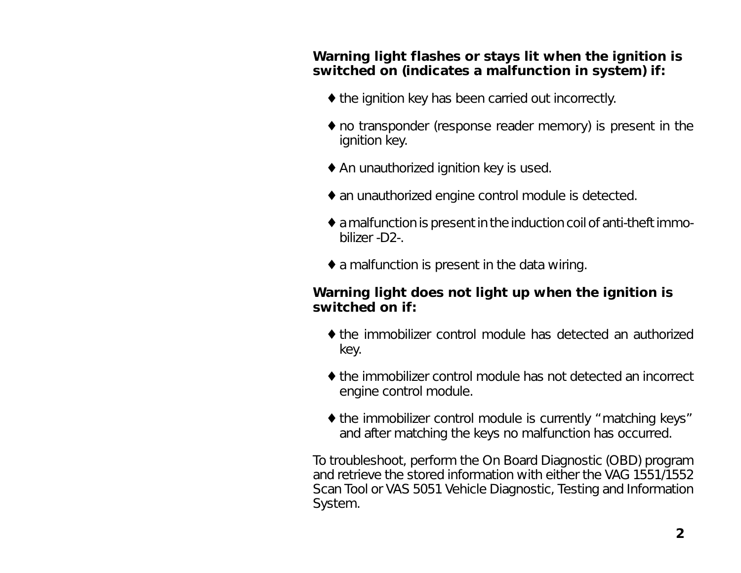#### **Warning light flashes or stays lit when the ignition is switched on (indicates a malfunction in system) if:**

- ♦ the ignition key has been carried out incorrectly.
- ♦ no transponder (response reader memory) is present in the ignition key.
- ♦ An unauthorized ignition key is used.
- ♦ an unauthorized engine control module is detected.
- ♦ a malfunction is present in the induction coil of anti-theft immobilizer -D2-.
- $\bullet$  a malfunction is present in the data wiring.

#### **Warning light does not light up when the ignition is switched on if:**

- ♦ the immobilizer control module has detected an authorized key.
- ♦ the immobilizer control module has not detected an incorrect engine control module.
- ♦ the immobilizer control module is currently "matching keys" and after matching the keys no malfunction has occurred.

To troubleshoot, perform the On Board Diagnostic (OBD) program and retrieve the stored information with either the VAG 1551/1552 Scan Tool or VAS 5051 Vehicle Diagnostic, Testing and Information System.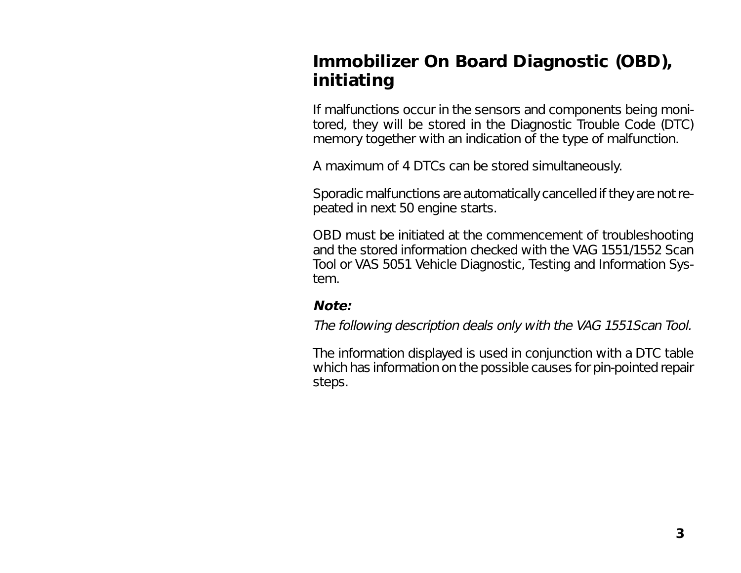# **Immobilizer On Board Diagnostic (OBD), initiating**

If malfunctions occur in the sensors and components being monitored, they will be stored in the Diagnostic Trouble Code (DTC) memory together with an indication of the type of malfunction.

A maximum of 4 DTCs can be stored simultaneously.

Sporadic malfunctions are automatically cancelled if they are not repeated in next 50 engine starts.

OBD must be initiated at the commencement of troubleshooting and the stored information checked with the VAG 1551/1552 Scan Tool or VAS 5051 Vehicle Diagnostic, Testing and Information System.

#### **Note:**

The following description deals only with the VAG 1551Scan Tool.

The information displayed is used in conjunction with a DTC table which has information on the possible causes for pin-pointed repair steps.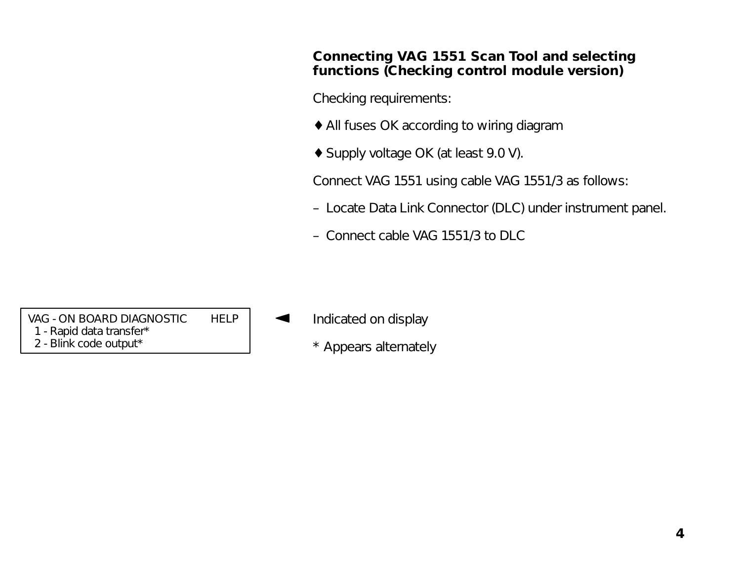#### **Connecting VAG 1551 Scan Tool and selecting functions (Checking control module version)**

Checking requirements:

- ♦ All fuses OK according to wiring diagram
- ♦ Supply voltage OK (at least 9.0 V).

Connect VAG 1551 using cable VAG 1551/3 as follows:

- Locate Data Link Connector (DLC) under instrument panel.
- Connect cable VAG 1551/3 to DLC

VAG - ON BOARD DIAGNOSTIC HELP 1 - Rapid data transfer\* 2 - Blink code output\*

- Indicated on display
	- \* Appears alternately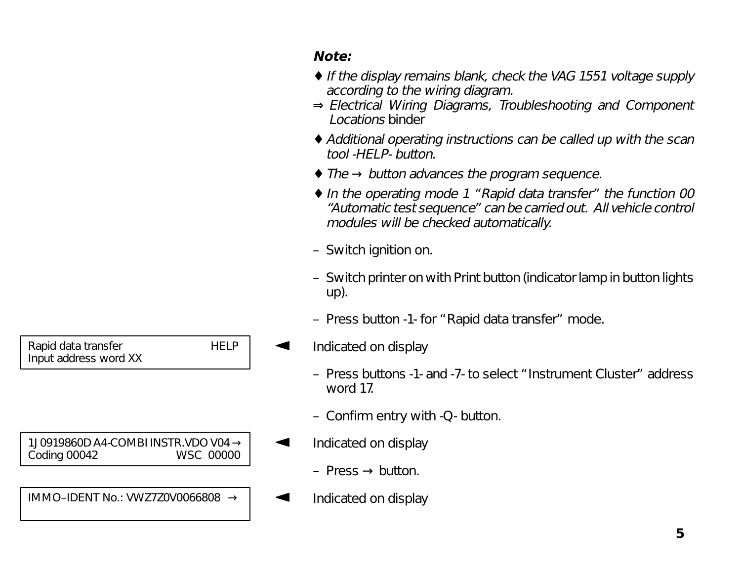# Rapid data transfer **HELP** Input address word XX

1J0919860D A4-COMBI INSTR.VDO V04 → Coding 00042 WSC 00000

IMMO–IDENT No.: VWZ7Z0V0066808 →

## **Note:**

- ♦ If the display remains blank, check the VAG 1551 voltage supply according to the wiring diagram.
- <sup>⇒</sup> Electrical Wiring Diagrams, Troubleshooting and Component Locations binder
- ♦ Additional operating instructions can be called up with the scan tool -HELP- button.
- ♦ The → button advances the program sequence.
- ♦ In the operating mode 1 "Rapid data transfer" the function 00 "Automatic test sequence" can be carried out. All vehicle control modules will be checked automatically.
- Switch ignition on.
- Switch printer on with Print button (indicator lamp in button lights up).
- Press button -1- for "Rapid data transfer" mode.
- Indicated on display
	- Press buttons -1- and -7- to select "Instrument Cluster" address word 17.
	- Confirm entry with -Q- button.
- Indicated on display
	- Press  $\rightarrow$  button.
- Indicated on display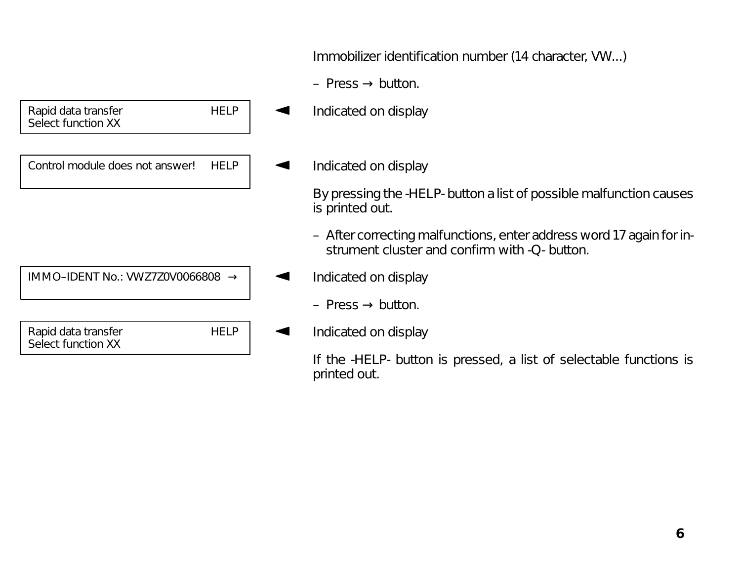Immobilizer identification number (14 character, VW...)

– Press  $\rightarrow$  button.

Indicated on display

## Indicated on display

By pressing the -HELP- button a list of possible malfunction causes is printed out.

- After correcting malfunctions, enter address word 17 again for instrument cluster and confirm with -Q- button.
- Indicated on display
	- Press  $\rightarrow$  button.
- Indicated on display

If the -HELP- button is pressed, a list of selectable functions is printed out.

Rapid data transfer **HELP** Select function XX

Control module does not answer! HELP

IMMO–IDENT No.: VWZ7Z0V0066808 →

Rapid data transfer **HELP** Select function XX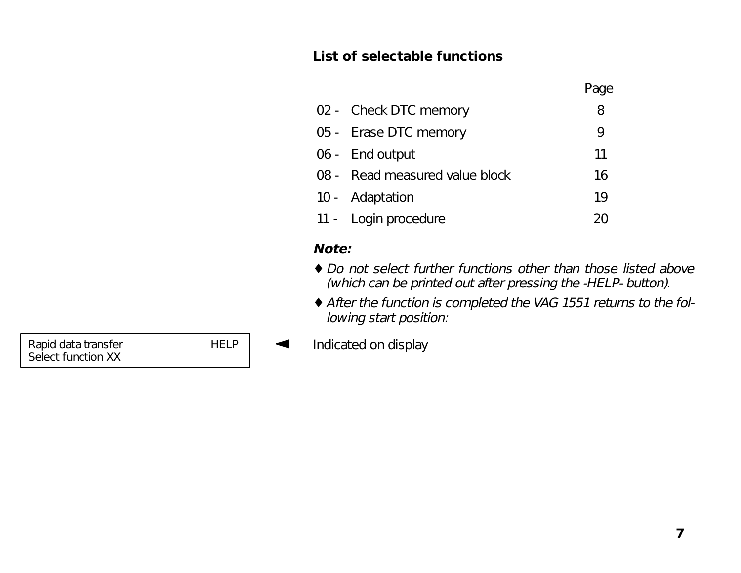#### **List of selectable functions**

| 02 - Check DTC memory          | 8                          |
|--------------------------------|----------------------------|
| 05 - Erase DTC memory          | 9                          |
| 06 - End output                | 11                         |
| 08 - Read measured value block | 16                         |
| 10 - Adaptation                | 19                         |
| 11 - Login procedure           | $\mathcal{D}(\mathcal{C})$ |

## **Note:**

- ♦ Do not select further functions other than those listed above (which can be printed out after pressing the -HELP- button).
- ♦ After the function is completed the VAG 1551 returns to the following start position:

Rapid data transfer **HELP Indicated on display**<br>Select function XX

 **7**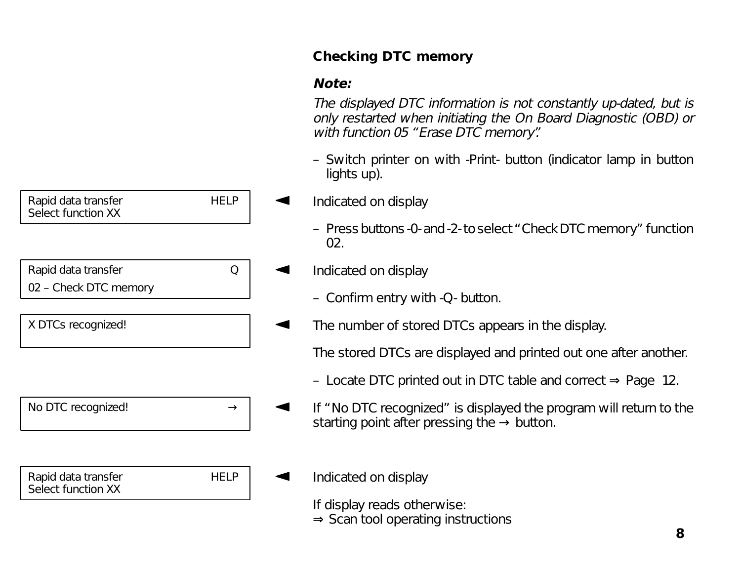

## **Checking DTC memory**

#### **Note:**

The displayed DTC information is not constantly up-dated, but is only restarted when initiating the On Board Diagnostic (OBD) or with function 05 "Erase DTC memory".

- Switch printer on with -Print- button (indicator lamp in button lights up).
- Indicated on display
	- Press buttons -0- and -2- to select "Check DTC memory" function 02.
- Indicated on display
	- Confirm entry with -Q- button.
- The number of stored DTCs appears in the display.

The stored DTCs are displayed and printed out one after another.

- Locate DTC printed out in DTC table and correct ⇒ Page 12.
- If "No DTC recognized" is displayed the program will return to the starting point after pressing the  $\rightarrow$  button.

## Indicated on display

If display reads otherwise: <sup>⇒</sup> Scan tool operating instructions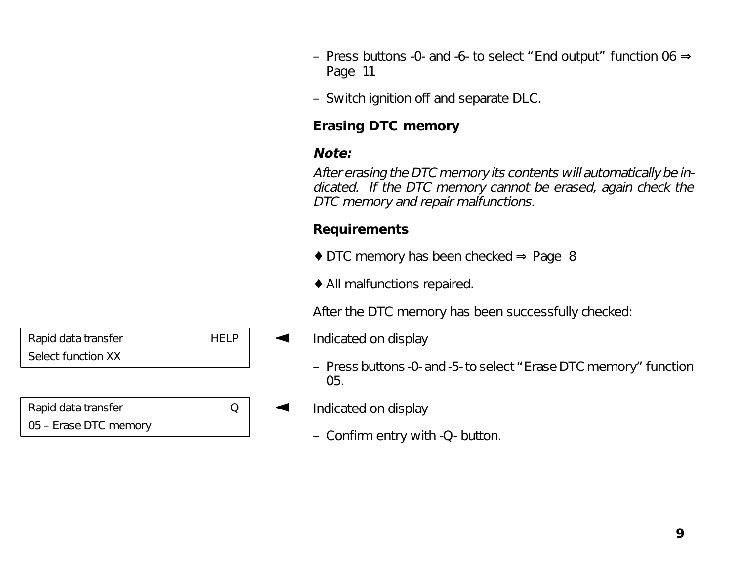- Press buttons -0- and -6- to select " End output" function 06  $\Rightarrow$ Page 11
- Switch ignition off and separate DLC.

## **Erasing DTC memory**

## **Note:**

After erasing the DTC memory its contents will automatically be indicated. If the DTC memory cannot be erased, again check the DTC memory and repair malfunctions.

## **Requirements**

- ♦ DTC memory has been checked <sup>⇒</sup> Page 8
- ♦ All malfunctions repaired.

After the DTC memory has been successfully checked:

- Indicated on display
	- Press buttons -0- and -5- to select "Erase DTC memory" function 05.
- Indicated on display
	- Confirm entry with -Q- button.

| Rapid data transfer   |  |
|-----------------------|--|
| Select function XX    |  |
|                       |  |
|                       |  |
| Death debe been efter |  |

Rapid data transfer Q 05 – Erase DTC memory

 **9**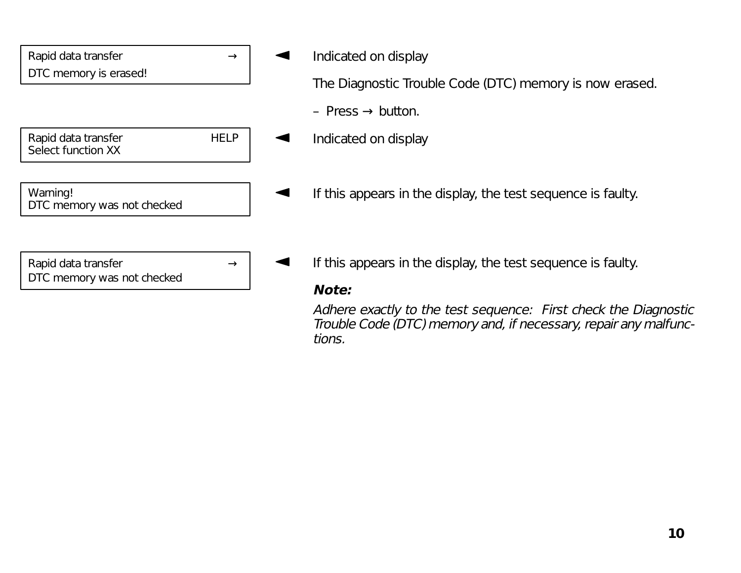| Rapid data transfer                               |             | Ir |
|---------------------------------------------------|-------------|----|
| DTC memory is erased!                             |             |    |
|                                                   |             |    |
|                                                   |             |    |
| Rapid data transfer<br>Select function XX         | <b>HELP</b> | Ir |
|                                                   |             |    |
| Warning!<br>DTC memory was not checked            |             | lf |
|                                                   |             |    |
|                                                   |             |    |
| Rapid data transfer<br>DTC memory was not checked |             |    |

ndicated on display

The Diagnostic Trouble Code (DTC) memory is now erased.

- $Press \rightarrow button.$
- ndicated on display
- this appears in the display, the test sequence is faulty.
- this appears in the display, the test sequence is faulty.

#### **Note:**

Adhere exactly to the test sequence: First check the Diagnostic Trouble Code (DTC) memory and, if necessary, repair any malfunctions.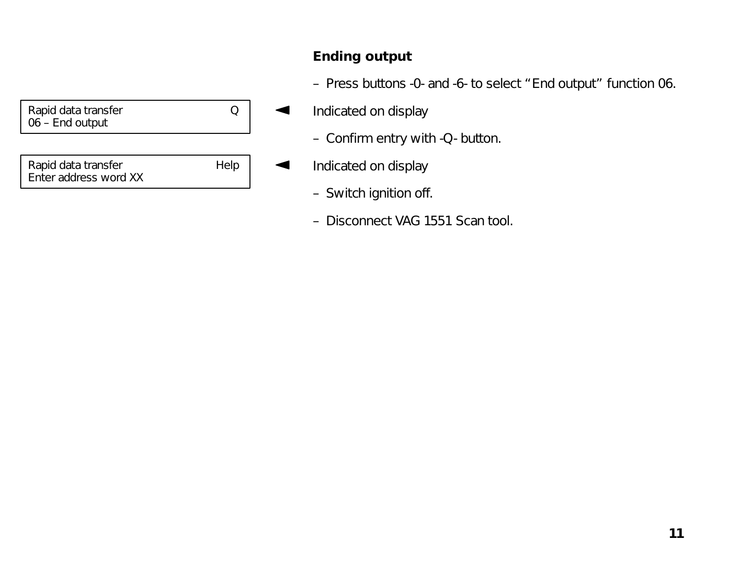| Help |
|------|
|      |

## **Ending output**

- Press buttons -0- and -6- to select "End output" function 06.
- Indicated on display  $\blacktriangleleft$ 
	- Confirm entry with -Q- button.
- Indicated on display  $\blacktriangleleft$ 
	- Switch ignition off.
	- Disconnect VAG 1551 Scan tool.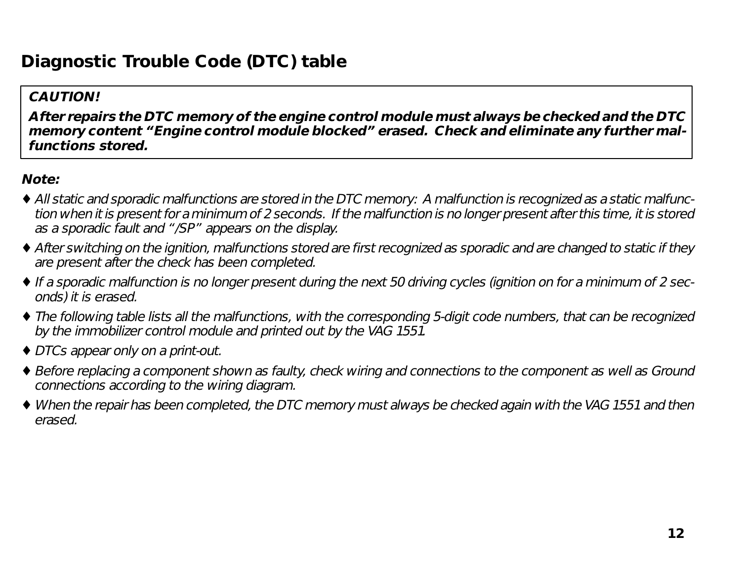# **Diagnostic Trouble Code (DTC) table**

#### **CAUTION!**

**After repairs the DTC memory of the engine control module must always be checked and the DTC memory content "Engine control module blocked" erased. Check and eliminate any further malfunctions stored.**

#### **Note:**

- ♦ All static and sporadic malfunctions are stored in the DTC memory: A malfunction is recognized as a static malfunction when it is present for a minimum of 2 seconds. If the malfunction is no longer present after this time, it is stored as a sporadic fault and "/SP" appears on the display.
- ♦ After switching on the ignition, malfunctions stored are first recognized as sporadic and are changed to static if they are present after the check has been completed.
- ♦ If a sporadic malfunction is no longer present during the next 50 driving cycles (ignition on for a minimum of 2 seconds) it is erased.
- ♦ The following table lists all the malfunctions, with the corresponding 5-digit code numbers, that can be recognized by the immobilizer control module and printed out by the VAG 1551.
- ♦ DTCs appear only on a print-out.
- ♦ Before replacing a component shown as faulty, check wiring and connections to the component as well as Ground connections according to the wiring diagram.
- ♦ When the repair has been completed, the DTC memory must always be checked again with the VAG 1551 and then erased.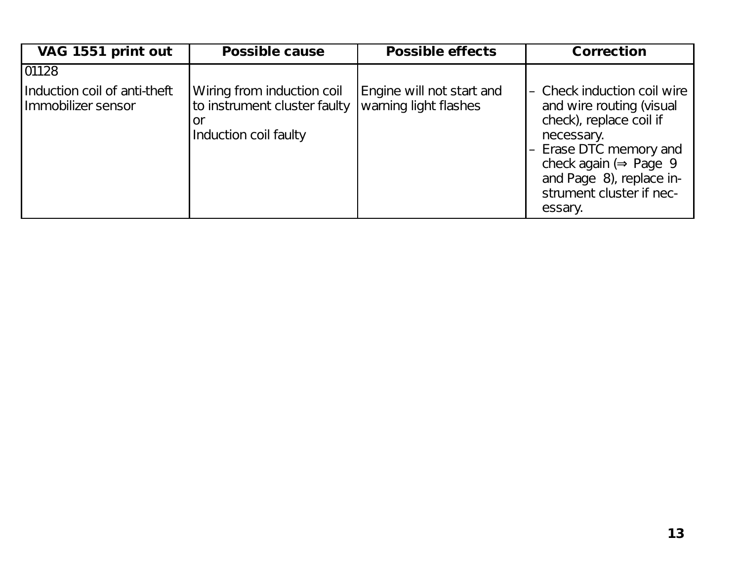| VAG 1551 print out                                 | <b>Possible cause</b>                                                               | <b>Possible effects</b>                            | <b>Correction</b>                                                                                                                                                                                                                   |
|----------------------------------------------------|-------------------------------------------------------------------------------------|----------------------------------------------------|-------------------------------------------------------------------------------------------------------------------------------------------------------------------------------------------------------------------------------------|
| 01128                                              |                                                                                     |                                                    |                                                                                                                                                                                                                                     |
| Induction coil of anti-theft<br>Immobilizer sensor | Wiring from induction coil<br>to instrument cluster faulty<br>Induction coil faulty | Engine will not start and<br>warning light flashes | - Check induction coil wire<br>and wire routing (visual<br>check), replace coil if<br>necessary.<br>- Erase DTC memory and<br>check again ( $\Rightarrow$ Page 9<br>and Page 8), replace in-<br>strument cluster if nec-<br>essary. |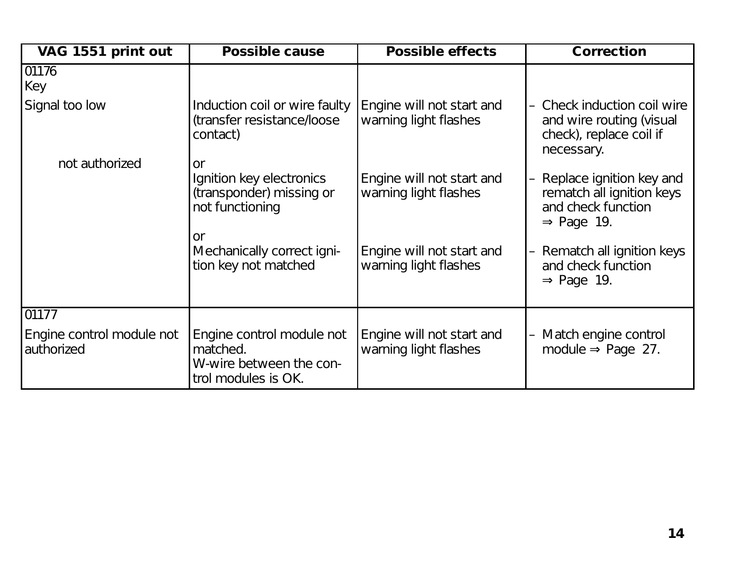| VAG 1551 print out                      | <b>Possible cause</b>                                                                             | <b>Possible effects</b>                            | <b>Correction</b>                                                                                     |
|-----------------------------------------|---------------------------------------------------------------------------------------------------|----------------------------------------------------|-------------------------------------------------------------------------------------------------------|
| 01176<br>Key                            |                                                                                                   |                                                    |                                                                                                       |
| Signal too low                          | Induction coil or wire faulty<br>(transfer resistance/loose<br>contact)                           | Engine will not start and<br>warning light flashes | - Check induction coil wire<br>and wire routing (visual<br>check), replace coil if<br>necessary.      |
| not authorized                          | <b>or</b><br>Ignition key electronics<br>(transponder) missing or<br>not functioning<br><b>or</b> | Engine will not start and<br>warning light flashes | Replace ignition key and<br>rematch all ignition keys<br>and check function<br>$\Rightarrow$ Page 19. |
|                                         | Mechanically correct igni-<br>tion key not matched                                                | Engine will not start and<br>warning light flashes | - Rematch all ignition keys<br>and check function<br>$\Rightarrow$ Page 19.                           |
| 01177                                   |                                                                                                   |                                                    |                                                                                                       |
| Engine control module not<br>authorized | Engine control module not<br>matched.<br>W-wire between the con-<br>trol modules is OK.           | Engine will not start and<br>warning light flashes | Match engine control<br>module $\Rightarrow$ Page 27.                                                 |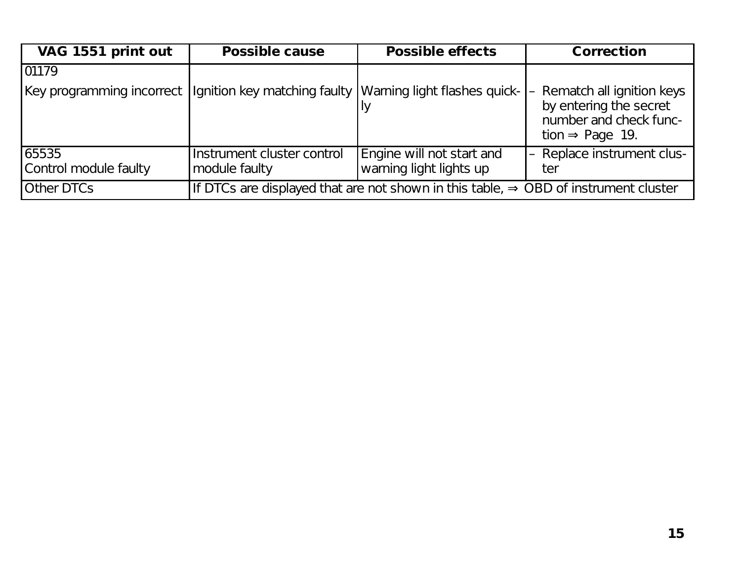| VAG 1551 print out             | <b>Possible cause</b>                                                                           | <b>Possible effects</b>                                                               | <b>Correction</b>                                                                                              |
|--------------------------------|-------------------------------------------------------------------------------------------------|---------------------------------------------------------------------------------------|----------------------------------------------------------------------------------------------------------------|
| 01179                          |                                                                                                 |                                                                                       |                                                                                                                |
|                                |                                                                                                 | Key programming incorrect  Ignition key matching faulty  Warning light flashes quick- | - Rematch all ignition keys<br>by entering the secret<br>number and check func-<br>tion $\Rightarrow$ Page 19. |
| 65535<br>Control module faulty | Instrument cluster control<br>module faulty                                                     | Engine will not start and<br>warning light lights up                                  | - Replace instrument clus-<br>ter                                                                              |
| <b>Other DTCs</b>              | If DTCs are displayed that are not shown in this table, $\Rightarrow$ OBD of instrument cluster |                                                                                       |                                                                                                                |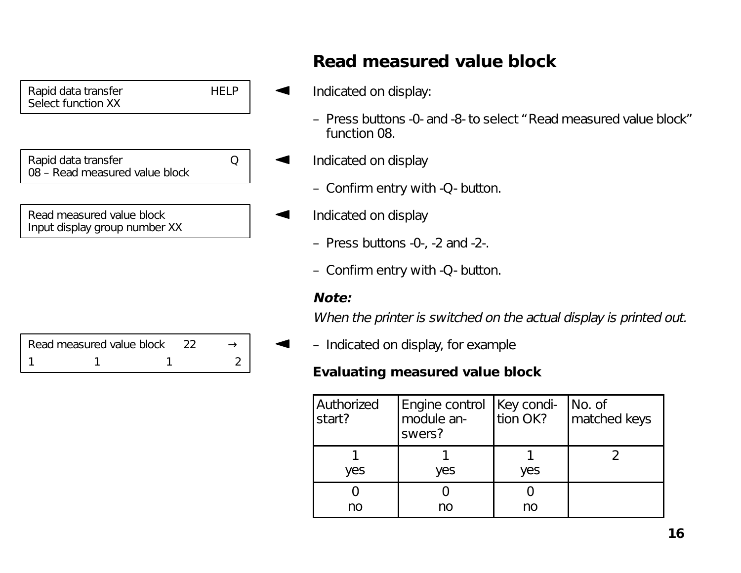| Rapid data transfer<br>Select function XX                  | HEI P |  |
|------------------------------------------------------------|-------|--|
|                                                            |       |  |
| Rapid data transfer<br>08 - Read measured value block      | ∩     |  |
|                                                            |       |  |
| Read measured value block<br>Input display group number XX |       |  |
|                                                            |       |  |
|                                                            |       |  |
|                                                            |       |  |
|                                                            |       |  |

| Read measured value block |  |  |
|---------------------------|--|--|
|                           |  |  |

# **Read measured value block**

- Indicated on display:
	- Press buttons -0- and -8- to select "Read measured value block" function 08.
- Indicated on display
	- Confirm entry with -Q- button.
- Indicated on display
	- Press buttons -0-, -2 and -2-.
	- Confirm entry with -Q- button.

## **Note:**

91

When the printer is switched on the actual display is printed out.

– Indicated on display, for example

## **Evaluating measured value block**

| Authorized<br>start? | Engine control   Key condi-<br>module an-<br>swers? | tion OK? | No. of<br>matched keys |
|----------------------|-----------------------------------------------------|----------|------------------------|
| yes                  | yes                                                 | yes      |                        |
| no                   | no                                                  | no       |                        |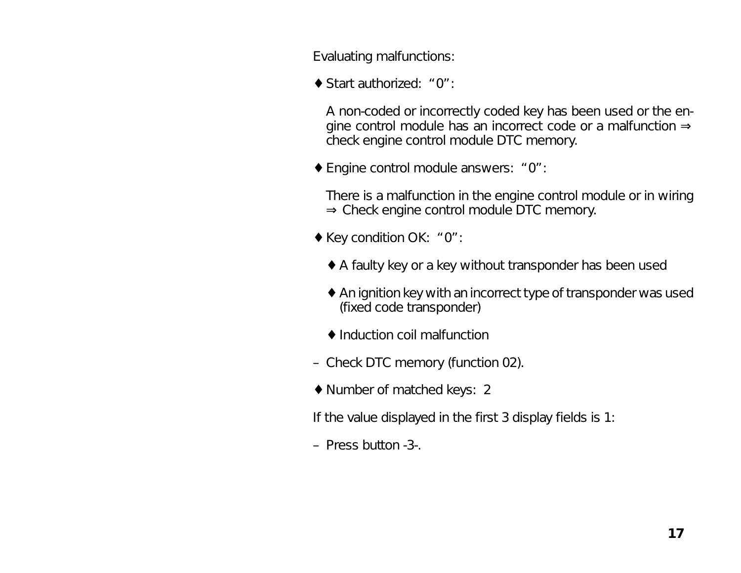Evaluating malfunctions:

♦ Start authorized: "0":

A non-coded or incorrectly coded key has been used or the engine control module has an incorrect code or a malfunction <sup>⇒</sup> check engine control module DTC memory.

♦ Engine control module answers: "0":

There is a malfunction in the engine control module or in wiring <sup>⇒</sup> Check engine control module DTC memory.

- ♦ Key condition OK: "0":
	- ♦ A faulty key or a key without transponder has been used
	- ♦ An ignition key with an incorrect type of transponder was used (fixed code transponder)
	- ♦ Induction coil malfunction
- Check DTC memory (function 02).
- ♦ Number of matched keys: 2

If the value displayed in the first 3 display fields is 1:

– Press button -3-.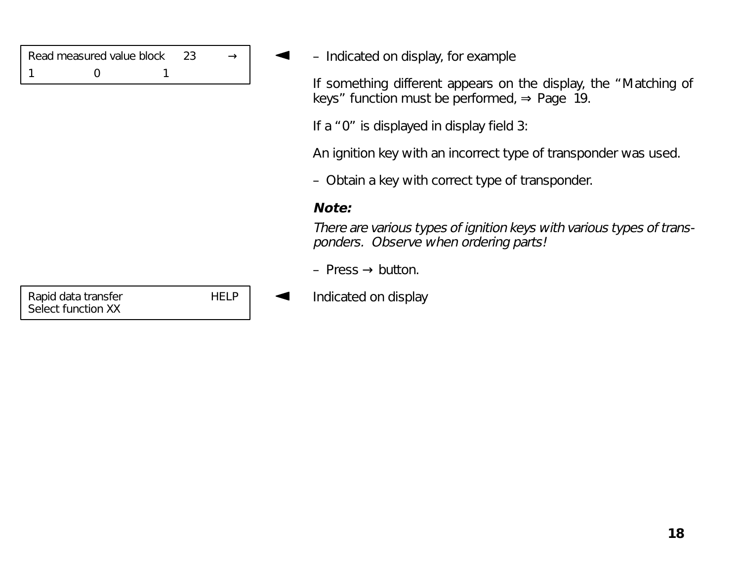| Read measured value block |  |  |  |
|---------------------------|--|--|--|
|                           |  |  |  |

– Indicated on display, for example

If something different appears on the display, the "Matching of keys" function must be performed,  $\Rightarrow$  Page 19.

If a "0" is displayed in display field 3:

An ignition key with an incorrect type of transponder was used.

– Obtain a key with correct type of transponder.

#### **Note:**

There are various types of ignition keys with various types of transponders. Observe when ordering parts!

- Press  $\rightarrow$  button.
- Indicated on display

Rapid data transfer HELP Select function XX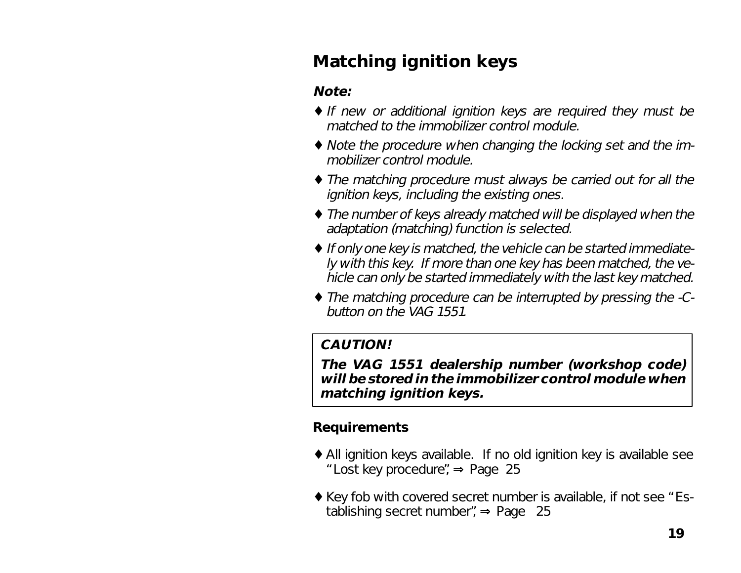# **Matching ignition keys**

## **Note:**

- ♦ If new or additional ignition keys are required they must be matched to the immobilizer control module.
- ♦ Note the procedure when changing the locking set and the immobilizer control module.
- ♦ The matching procedure must always be carried out for all the ignition keys, including the existing ones.
- ♦ The number of keys already matched will be displayed when the adaptation (matching) function is selected.
- ♦ If only one key is matched, the vehicle can be started immediately with this key. If more than one key has been matched, the vehicle can only be started immediately with the last key matched.
- ♦ The matching procedure can be interrupted by pressing the -Cbutton on the VAG 1551.

## **CAUTION!**

**The VAG 1551 dealership number (workshop code) will be stored in the immobilizer control module when matching ignition keys.**

## **Requirements**

- ♦ All ignition keys available. If no old ignition key is available see "Lost key procedure", ⇒ Page 25
- ♦ Key fob with covered secret number is available, if not see "Establishing secret number", ⇒ Page 25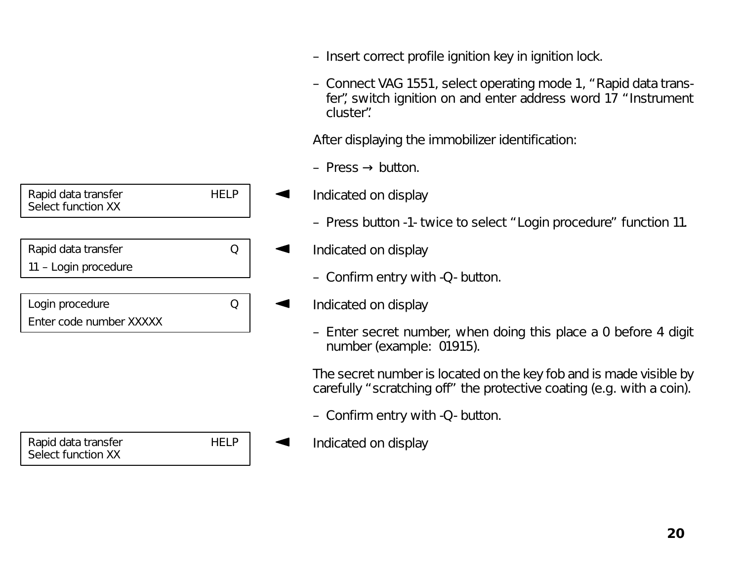| Rapid data transfer<br>Select function XX |  |
|-------------------------------------------|--|
|                                           |  |
| Rapid data transfer                       |  |
| 11 - Login procedure                      |  |
|                                           |  |
| Login procedure                           |  |
| Enter code number XXXXX                   |  |
|                                           |  |

| Rapid data transfer<br>Select function XX | HELF |
|-------------------------------------------|------|
|                                           |      |

- Insert correct profile ignition key in ignition lock.
- Connect VAG 1551, select operating mode 1, "Rapid data transfer", switch ignition on and enter address word 17 "Instrument cluster".

After displaying the immobilizer identification:

– Press  $\rightarrow$  button.

- Indicated on display
	- Press button -1- twice to select "Login procedure" function 11.
	- Indicated on display
		- Confirm entry with -Q- button.
- Indicated on display
	- Enter secret number, when doing this place a 0 before 4 digit number (example: 01915).

The secret number is located on the key fob and is made visible by carefully "scratching off" the protective coating (e.g. with a coin).

- Confirm entry with -Q- button.
- Indicated on display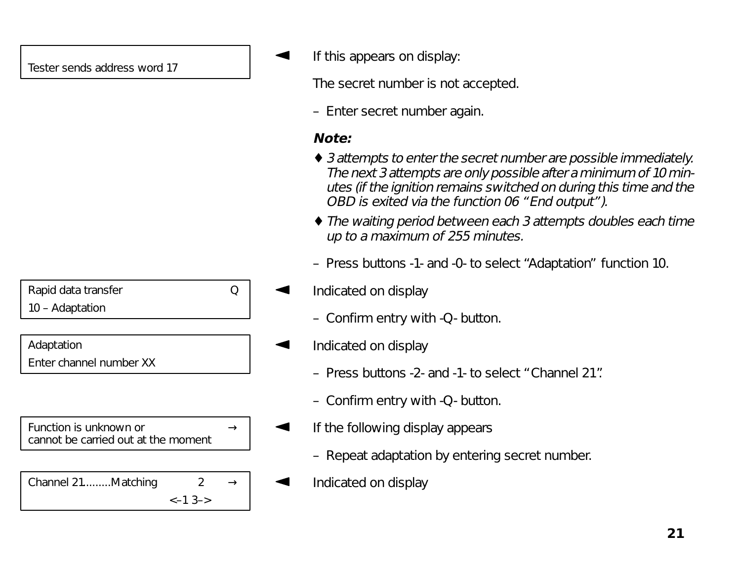| Rapid data transfer     |  |
|-------------------------|--|
| 10 - Adaptation         |  |
|                         |  |
| Adaptation              |  |
| Enter channel number XX |  |
|                         |  |
|                         |  |
| $F_{11}$                |  |

Function is unknown or  $\rightarrow$ cannot be carried out at the moment

| Channel 21Matching |                    | $\rightarrow$ |
|--------------------|--------------------|---------------|
|                    | $\leftarrow$ 1 3-> |               |

If this appears on display:

The secret number is not accepted.

– Enter secret number again.

## **Note:**

- ♦ 3 attempts to enter the secret number are possible immediately. The next 3 attempts are only possible after a minimum of 10 minutes (if the ignition remains switched on during this time and the OBD is exited via the function 06 "End output").
- ♦ The waiting period between each 3 attempts doubles each time up to a maximum of 255 minutes.
- Press buttons -1- and -0- to select "Adaptation" function 10.
- Indicated on display
	- Confirm entry with -Q- button.
- Indicated on display
	- Press buttons -2- and -1- to select "Channel 21".
	- Confirm entry with -Q- button.
- If the following display appears
	- Repeat adaptation by entering secret number.
- Indicated on display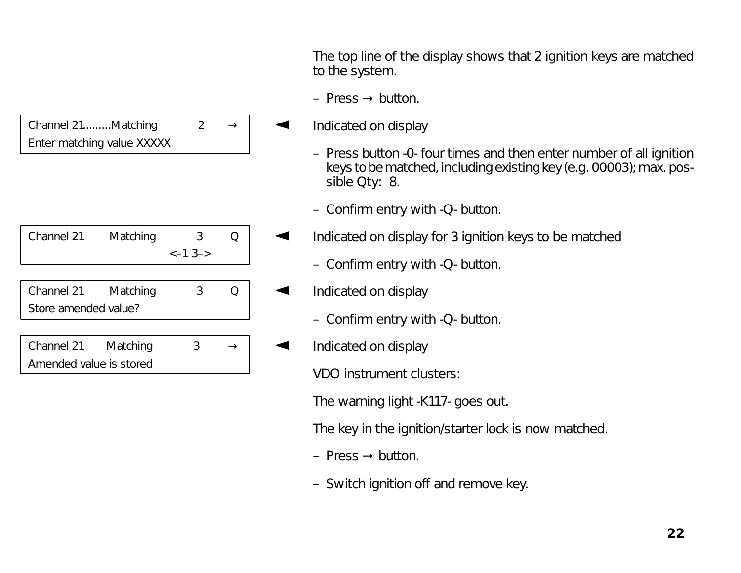| Channel 21Matching         | $\rightarrow$ |
|----------------------------|---------------|
| Enter matching value XXXXX |               |

| Channel 21           | Matching | З        |  |
|----------------------|----------|----------|--|
|                      |          | $<-13->$ |  |
|                      |          |          |  |
| Channel 21           | Matching | 3        |  |
| Store amended value? |          |          |  |
|                      |          |          |  |
| Channel 21           | Matching |          |  |

Amended value is stored

The top line of the display shows that 2 ignition keys are matched to the system.

- Press  $\rightarrow$  button.
- Indicated on display
	- Press button -0- four times and then enter number of all ignition keys to be matched, including existing key (e.g. 00003); max. possible Qty: 8.
	- Confirm entry with -Q- button.
- Indicated on display for 3 ignition keys to be matched
	- Confirm entry with -Q- button.
- Indicated on display
	- Confirm entry with -Q- button.
- Indicated on display

VDO instrument clusters:

The warning light -K117- goes out.

The key in the ignition/starter lock is now matched.

- Press  $\rightarrow$  button.
- Switch ignition off and remove key.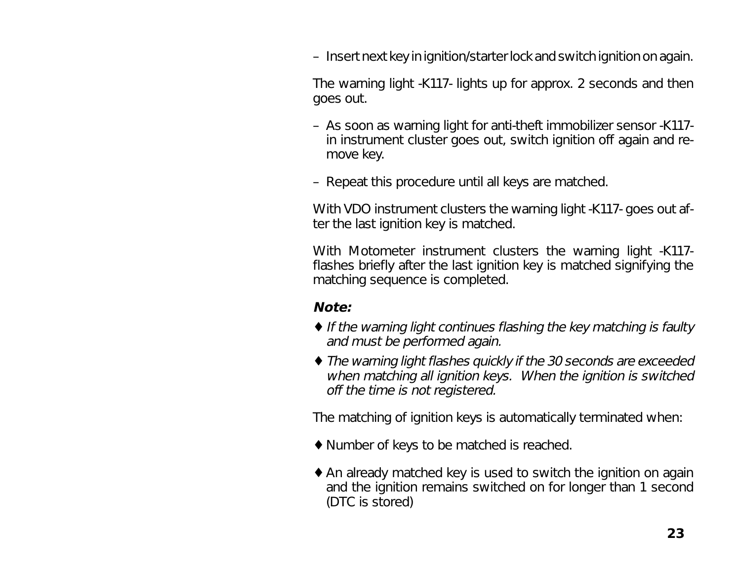– Insert next key in ignition/starter lock and switch ignition on again.

The warning light -K117- lights up for approx. 2 seconds and then goes out.

- As soon as warning light for anti-theft immobilizer sensor -K117 in instrument cluster goes out, switch ignition off again and remove key.
- Repeat this procedure until all keys are matched.

With VDO instrument clusters the warning light -K117- goes out after the last ignition key is matched.

With Motometer instrument clusters the warning light -K117 flashes briefly after the last ignition key is matched signifying the matching sequence is completed.

#### **Note:**

- ♦ If the warning light continues flashing the key matching is faulty and must be performed again.
- ♦ The warning light flashes quickly if the 30 seconds are exceeded when matching all ignition keys. When the ignition is switched off the time is not registered.

The matching of ignition keys is automatically terminated when:

- ♦ Number of keys to be matched is reached.
- ♦ An already matched key is used to switch the ignition on again and the ignition remains switched on for longer than 1 second (DTC is stored)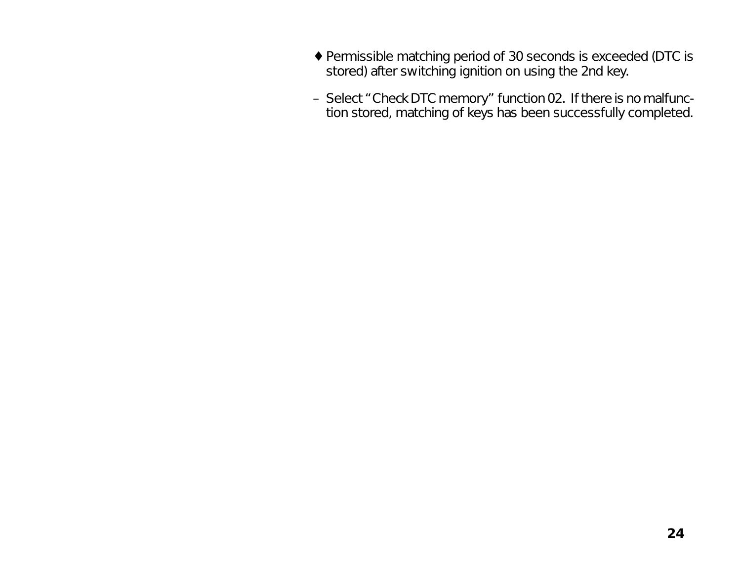- ♦ Permissible matching period of 30 seconds is exceeded (DTC is stored) after switching ignition on using the 2nd key.
- Select "Check DTC memory" function 02. If there is no malfunction stored, matching of keys has been successfully completed.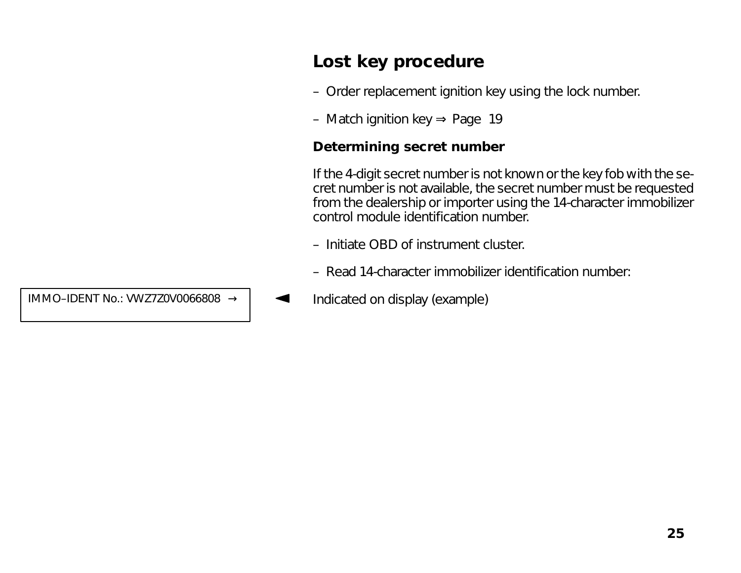# **Lost key procedure**

- Order replacement ignition key using the lock number.
- Match ignition key ⇒ Page 19

#### **Determining secret number**

If the 4-digit secret number is not known or the key fob with the secret number is not available, the secret number must be requested from the dealership or importer using the 14-character immobilizer control module identification number.

- Initiate OBD of instrument cluster.
- Read 14-character immobilizer identification number:
- IMMO–IDENT No.: VWZ7Z0V0066808  $\rightarrow$  |  $\rightarrow$  Indicated on display (example)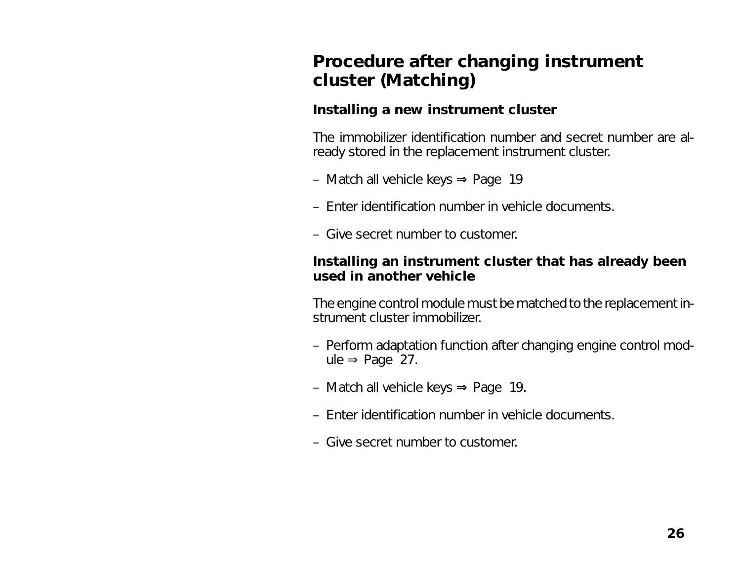# **Procedure after changing instrument cluster (Matching)**

#### **Installing a new instrument cluster**

The immobilizer identification number and secret number are already stored in the replacement instrument cluster.

- Match all vehicle keys <sup>⇒</sup> Page 19
- Enter identification number in vehicle documents.
- Give secret number to customer.

#### **Installing an instrument cluster that has already been used in another vehicle**

The engine control module must be matched to the replacement instrument cluster immobilizer.

- Perform adaptation function after changing engine control module  $\Rightarrow$  Page 27.
- Match all vehicle keys ⇒ Page 19.
- Enter identification number in vehicle documents.
- Give secret number to customer.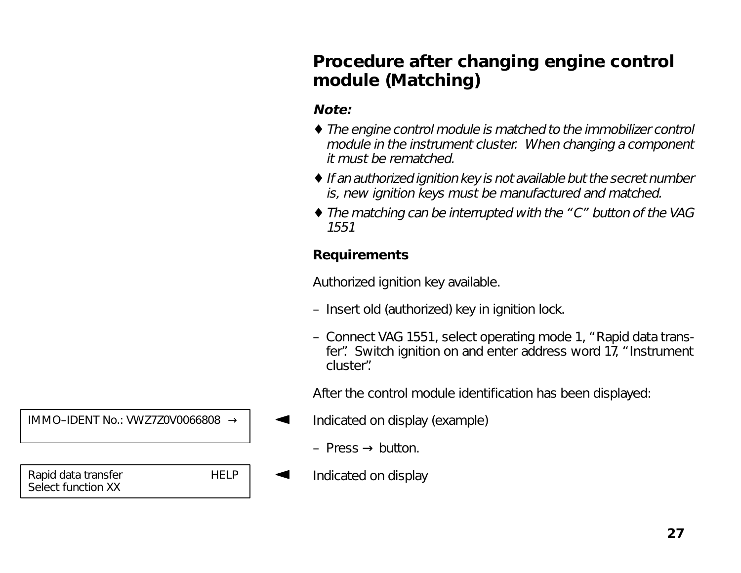# **Procedure after changing engine control module (Matching)**

## **Note:**

- ♦ The engine control module is matched to the immobilizer control module in the instrument cluster. When changing a component it must be rematched.
- ♦ If an authorized ignition key is not available but the secret number is, new ignition keys must be manufactured and matched.
- ♦ The matching can be interrupted with the "C" button of the VAG 1551

## **Requirements**

Authorized ignition key available.

- Insert old (authorized) key in ignition lock.
- Connect VAG 1551, select operating mode 1, "Rapid data transfer". Switch ignition on and enter address word 17, "Instrument cluster".

After the control module identification has been displayed:

- Indicated on display (example)
	- Press  $\rightarrow$  button.
- Indicated on display

IMMO–IDENT No.: VWZ7Z0V0066808 →

Rapid data transfer HELP Select function XX

 **27**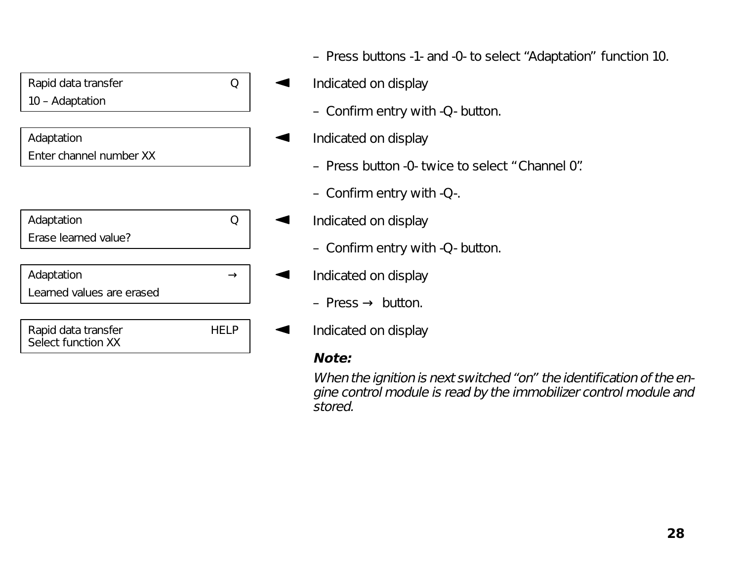

Select function XX

- Press buttons -1- and -0- to select "Adaptation" function 10.
- Indicated on display
	- Confirm entry with -Q- button.
- Indicated on display
	- Press button -0- twice to select "Channel 0".
	- Confirm entry with -Q-.
- Indicated on display
	- Confirm entry with -Q- button.
	- Indicated on display
		- Press $\rightarrow$  button.
- Indicated on display

## **Note:**

When the ignition is next switched "on" the identification of the engine control module is read by the immobilizer control module and stored.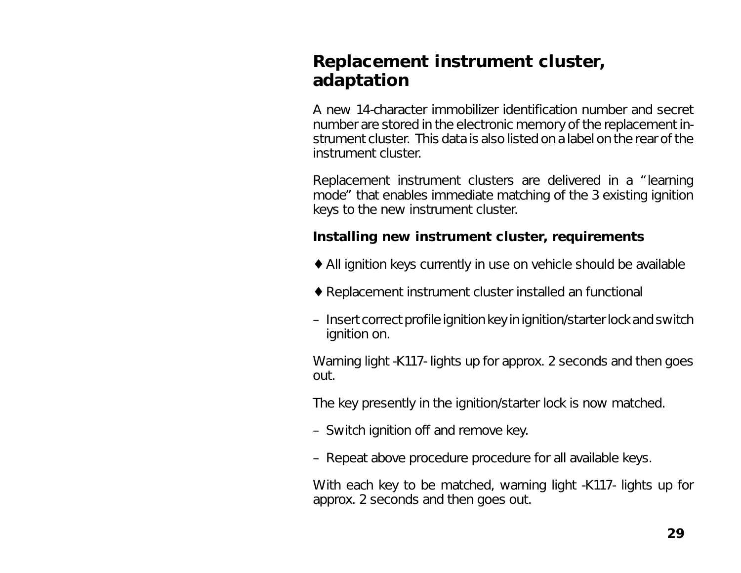# **Replacement instrument cluster, adaptation**

A new 14-character immobilizer identification number and secret number are stored in the electronic memory of the replacement instrument cluster. This data is also listed on a label on the rear of the instrument cluster.

Replacement instrument clusters are delivered in a "learning mode" that enables immediate matching of the 3 existing ignition keys to the new instrument cluster.

#### **Installing new instrument cluster, requirements**

- ♦ All ignition keys currently in use on vehicle should be available
- ♦ Replacement instrument cluster installed an functional
- Insert correct profile ignition key in ignition/starter lock and switch ignition on.

Warning light -K117- lights up for approx. 2 seconds and then goes out.

The key presently in the ignition/starter lock is now matched.

- Switch ignition off and remove key.
- Repeat above procedure procedure for all available keys.

With each key to be matched, warning light -K117- lights up for approx. 2 seconds and then goes out.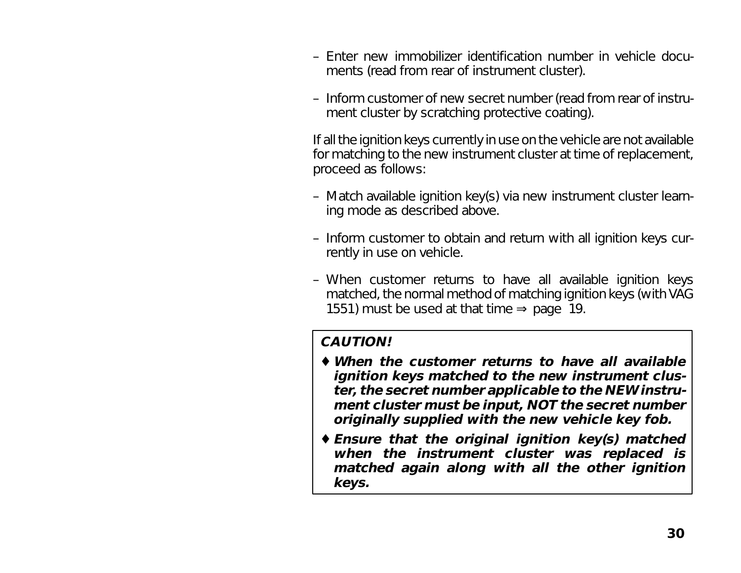- Enter new immobilizer identification number in vehicle documents (read from rear of instrument cluster).
- Inform customer of new secret number (read from rear of instrument cluster by scratching protective coating).

If all the ignition keys currently in use on the vehicle are not available for matching to the new instrument cluster at time of replacement, proceed as follows:

- Match available ignition key(s) via new instrument cluster learning mode as described above.
- Inform customer to obtain and return with all ignition keys currently in use on vehicle.
- When customer returns to have all available ignition keys matched, the normal method of matching ignition keys (with VAG 1551) must be used at that time  $\Rightarrow$  page 19.

#### **CAUTION!**

- ♦ **When the customer returns to have all available ignition keys matched to the new instrument cluster, the secret number applicable to the NEW instrument cluster must be input, NOT the secret number originally supplied with the new vehicle key fob.**
- ♦ **Ensure that the original ignition key(s) matched when the instrument cluster was replaced is matched again along with all the other ignition keys.**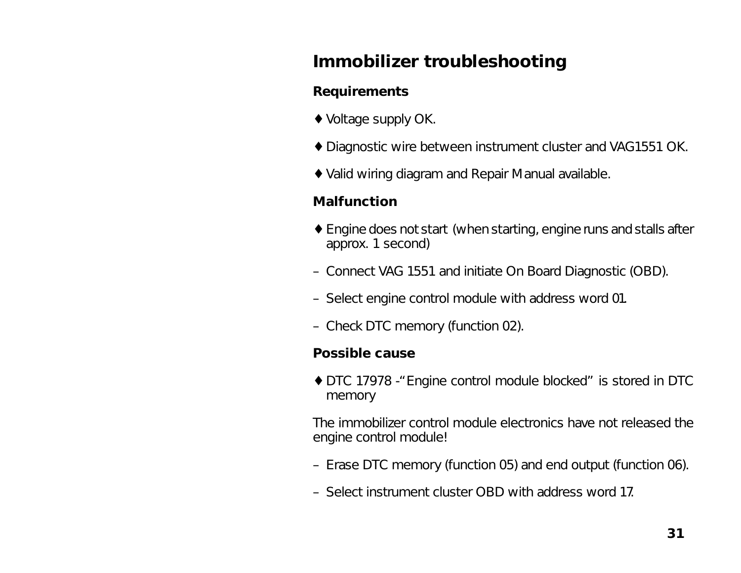# **Immobilizer troubleshooting**

## **Requirements**

- ♦ Voltage supply OK.
- ♦ Diagnostic wire between instrument cluster and VAG1551 OK.
- ♦ Valid wiring diagram and Repair Manual available.

## **Malfunction**

- ♦ Engine does not start (when starting, engine runs and stalls after approx. 1 second)
- Connect VAG 1551 and initiate On Board Diagnostic (OBD).
- Select engine control module with address word 01.
- Check DTC memory (function 02).

## **Possible cause**

♦ DTC 17978 -"Engine control module blocked" is stored in DTC memory

The immobilizer control module electronics have not released the engine control module!

- Erase DTC memory (function 05) and end output (function 06).
- Select instrument cluster OBD with address word 17.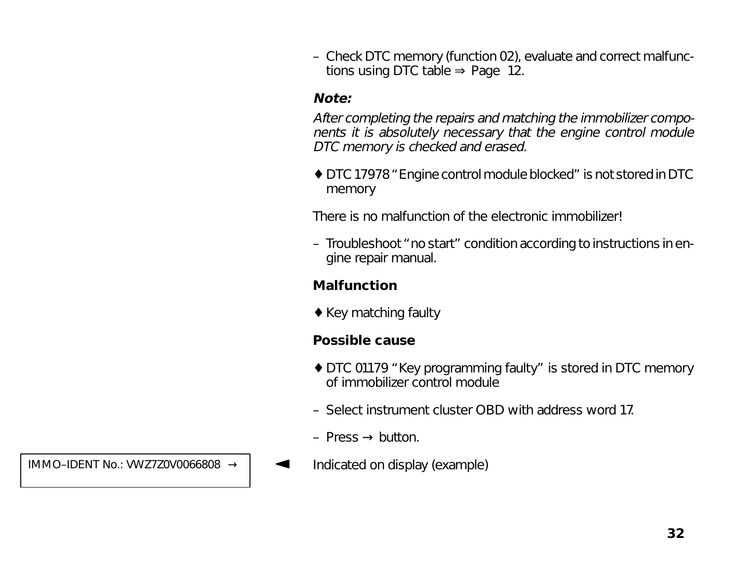– Check DTC memory (function 02), evaluate and correct malfunctions using DTC table  $\Rightarrow$  Page 12.

#### **Note:**

After completing the repairs and matching the immobilizer components it is absolutely necessary that the engine control module DTC memory is checked and erased.

♦ DTC 17978 "Engine control module blocked" is not stored in DTC memory

There is no malfunction of the electronic immobilizer!

– Troubleshoot "no start" condition according to instructions in engine repair manual.

#### **Malfunction**

♦ Key matching faulty

#### **Possible cause**

- ♦ DTC 01179 "Key programming faulty" is stored in DTC memory of immobilizer control module
- Select instrument cluster OBD with address word 17.
- Press  $\rightarrow$  button.
- IMMO–IDENT No.: VWZ7Z0V0066808  $\rightarrow$  |  $\rightarrow$  Indicated on display (example)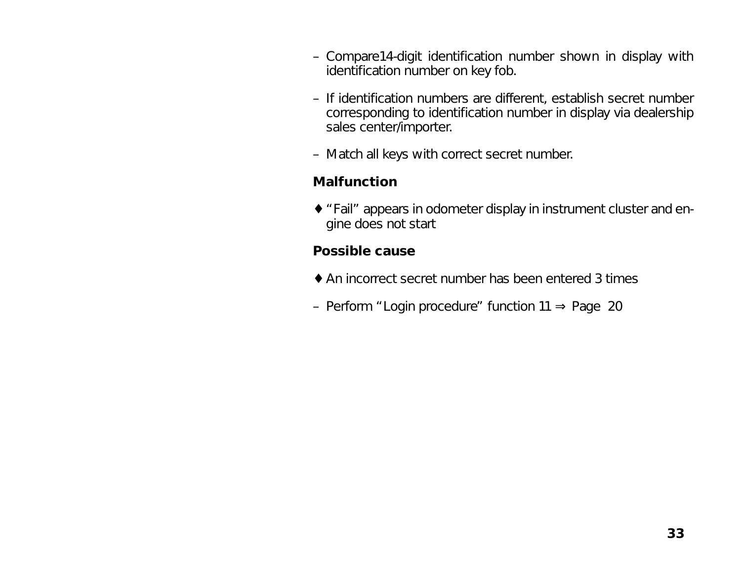- Compare14-digit identification number shown in display with identification number on key fob.
- If identification numbers are different, establish secret number corresponding to identification number in display via dealership sales center/importer.
- Match all keys with correct secret number.

#### **Malfunction**

♦ "Fail" appears in odometer display in instrument cluster and engine does not start

#### **Possible cause**

- ♦ An incorrect secret number has been entered 3 times
- Perform "Login procedure" function 11 ⇒ Page 20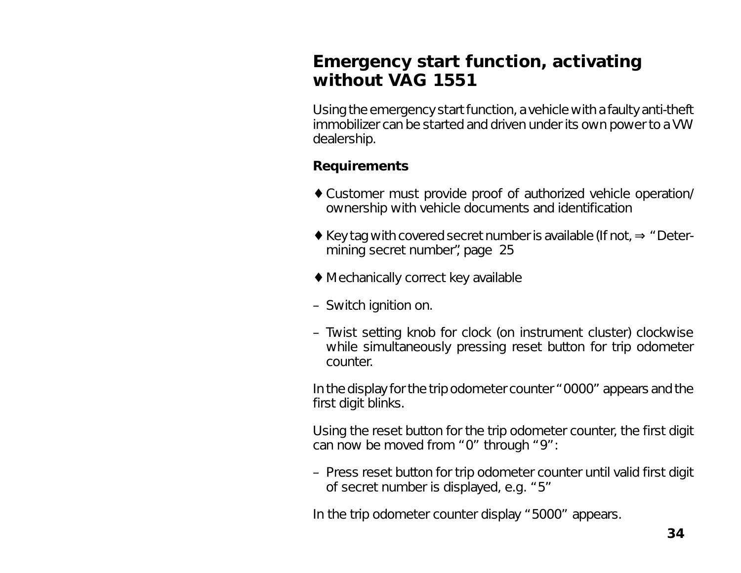# **Emergency start function, activating without VAG 1551**

Using the emergency start function, a vehicle with a faulty anti-theft immobilizer can be started and driven under its own power to a VW dealership.

## **Requirements**

- ♦ Customer must provide proof of authorized vehicle operation/ ownership with vehicle documents and identification
- ♦ Key tag with covered secret number is available (If not, ⇒ "Determining secret number", page 25
- ♦ Mechanically correct key available
- Switch ignition on.
- Twist setting knob for clock (on instrument cluster) clockwise while simultaneously pressing reset button for trip odometer counter.

In the display for the trip odometer counter "0000" appears and the first digit blinks.

Using the reset button for the trip odometer counter, the first digit can now be moved from "0" through "9":

– Press reset button for trip odometer counter until valid first digit of secret number is displayed, e.g. "5"

In the trip odometer counter display "5000" appears.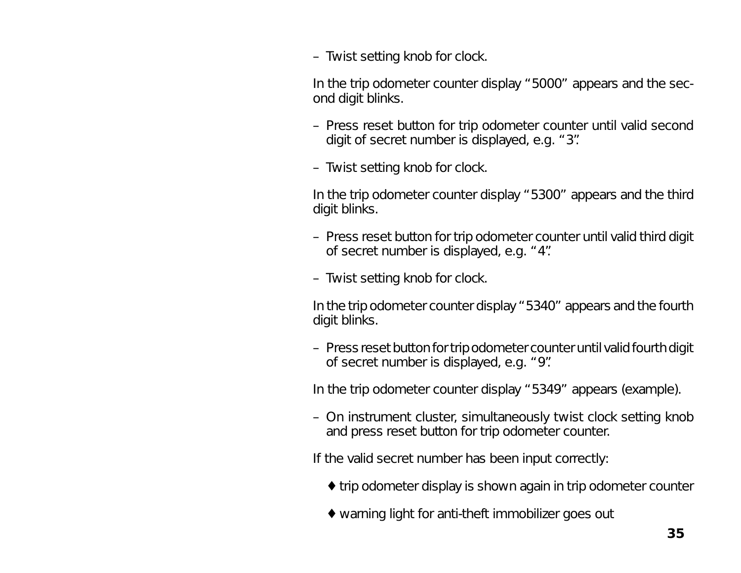– Twist setting knob for clock.

In the trip odometer counter display "5000" appears and the second digit blinks.

- Press reset button for trip odometer counter until valid second digit of secret number is displayed, e.g. "3".
- Twist setting knob for clock.

In the trip odometer counter display "5300" appears and the third digit blinks.

- Press reset button for trip odometer counter until valid third digit of secret number is displayed, e.g. "4".
- Twist setting knob for clock.

In the trip odometer counter display "5340" appears and the fourth digit blinks.

– Press reset button for trip odometer counter until valid fourth digit of secret number is displayed, e.g. "9".

In the trip odometer counter display "5349" appears (example).

– On instrument cluster, simultaneously twist clock setting knob and press reset button for trip odometer counter.

If the valid secret number has been input correctly:

- ♦ trip odometer display is shown again in trip odometer counter
- ♦ warning light for anti-theft immobilizer goes out